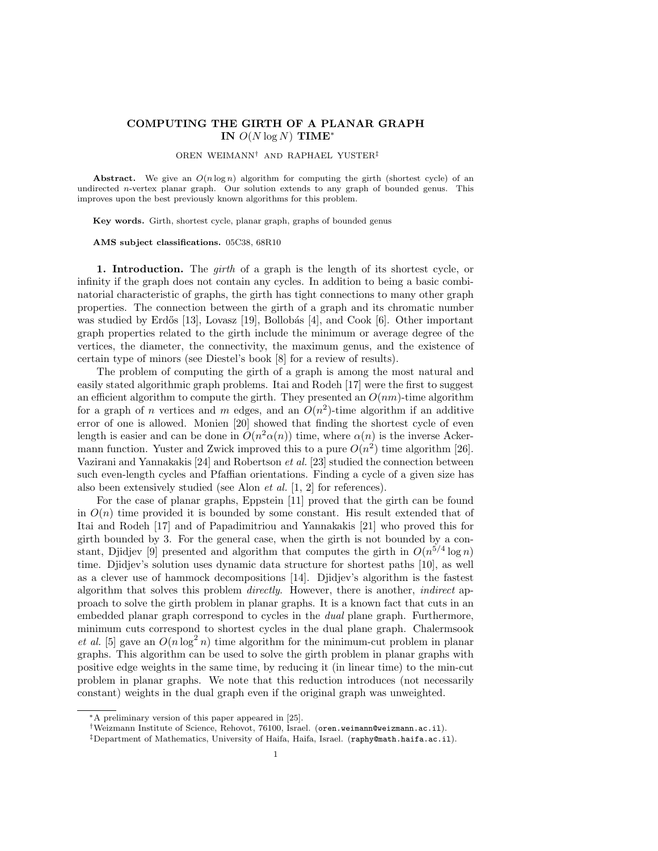## COMPUTING THE GIRTH OF A PLANAR GRAPH IN  $O(N \log N)$  TIME<sup>\*</sup>

## OREN WEIMANN† AND RAPHAEL YUSTER‡

Abstract. We give an  $O(n \log n)$  algorithm for computing the girth (shortest cycle) of an undirected n-vertex planar graph. Our solution extends to any graph of bounded genus. This improves upon the best previously known algorithms for this problem.

Key words. Girth, shortest cycle, planar graph, graphs of bounded genus

## AMS subject classifications. 05C38, 68R10

1. Introduction. The *girth* of a graph is the length of its shortest cycle, or infinity if the graph does not contain any cycles. In addition to being a basic combinatorial characteristic of graphs, the girth has tight connections to many other graph properties. The connection between the girth of a graph and its chromatic number was studied by Erdős  $[13]$ , Lovasz  $[19]$ , Bollobás  $[4]$ , and Cook  $[6]$ . Other important graph properties related to the girth include the minimum or average degree of the vertices, the diameter, the connectivity, the maximum genus, and the existence of certain type of minors (see Diestel's book [8] for a review of results).

The problem of computing the girth of a graph is among the most natural and easily stated algorithmic graph problems. Itai and Rodeh [17] were the first to suggest an efficient algorithm to compute the girth. They presented an  $O(nm)$ -time algorithm for a graph of *n* vertices and *m* edges, and an  $O(n^2)$ -time algorithm if an additive error of one is allowed. Monien [20] showed that finding the shortest cycle of even length is easier and can be done in  $O(n^2\alpha(n))$  time, where  $\alpha(n)$  is the inverse Ackermann function. Yuster and Zwick improved this to a pure  $O(n^2)$  time algorithm [26]. Vazirani and Yannakakis [24] and Robertson et al. [23] studied the connection between such even-length cycles and Pfaffian orientations. Finding a cycle of a given size has also been extensively studied (see Alon et al. [1, 2] for references).

For the case of planar graphs, Eppstein [11] proved that the girth can be found in  $O(n)$  time provided it is bounded by some constant. His result extended that of Itai and Rodeh [17] and of Papadimitriou and Yannakakis [21] who proved this for girth bounded by 3. For the general case, when the girth is not bounded by a constant, Djidjev [9] presented and algorithm that computes the girth in  $O(n^{5/4} \log n)$ time. Djidjev's solution uses dynamic data structure for shortest paths [10], as well as a clever use of hammock decompositions [14]. Djidjev's algorithm is the fastest algorithm that solves this problem *directly*. However, there is another, *indirect* approach to solve the girth problem in planar graphs. It is a known fact that cuts in an embedded planar graph correspond to cycles in the dual plane graph. Furthermore, minimum cuts correspond to shortest cycles in the dual plane graph. Chalermsook et al. [5] gave an  $O(n \log^2 n)$  time algorithm for the minimum-cut problem in planar graphs. This algorithm can be used to solve the girth problem in planar graphs with positive edge weights in the same time, by reducing it (in linear time) to the min-cut problem in planar graphs. We note that this reduction introduces (not necessarily constant) weights in the dual graph even if the original graph was unweighted.

<sup>∗</sup>A preliminary version of this paper appeared in [25].

<sup>&</sup>lt;sup>†</sup>Weizmann Institute of Science, Rehovot, 76100, Israel. (oren.weimann@weizmann.ac.il).

<sup>‡</sup>Department of Mathematics, University of Haifa, Haifa, Israel. (raphy@math.haifa.ac.il).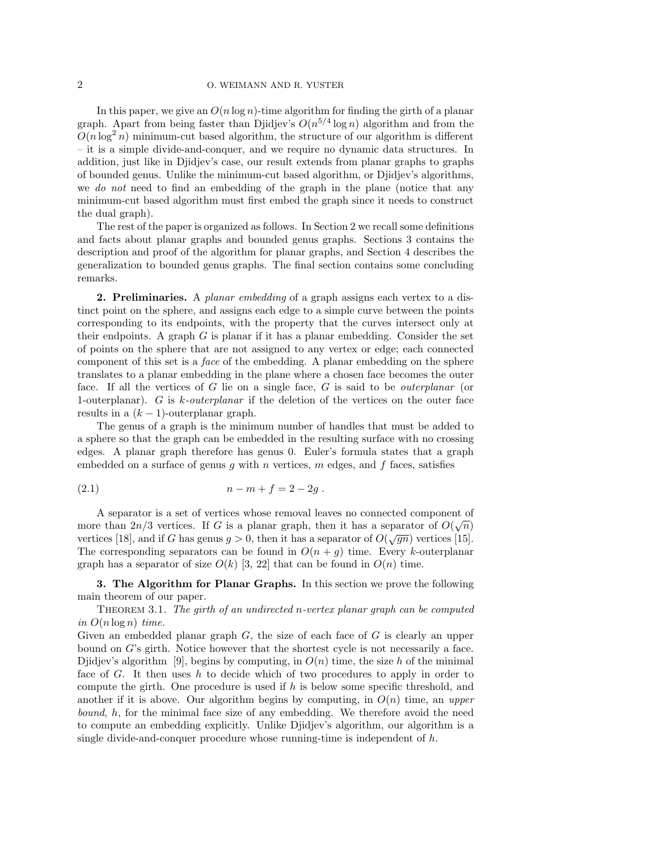In this paper, we give an  $O(n \log n)$ -time algorithm for finding the girth of a planar graph. Apart from being faster than Djidjev's  $O(n^{5/4} \log n)$  algorithm and from the  $O(n \log^2 n)$  minimum-cut based algorithm, the structure of our algorithm is different – it is a simple divide-and-conquer, and we require no dynamic data structures. In addition, just like in Djidjev's case, our result extends from planar graphs to graphs of bounded genus. Unlike the minimum-cut based algorithm, or Djidjev's algorithms, we do not need to find an embedding of the graph in the plane (notice that any minimum-cut based algorithm must first embed the graph since it needs to construct the dual graph).

The rest of the paper is organized as follows. In Section 2 we recall some definitions and facts about planar graphs and bounded genus graphs. Sections 3 contains the description and proof of the algorithm for planar graphs, and Section 4 describes the generalization to bounded genus graphs. The final section contains some concluding remarks.

**2. Preliminaries.** A *planar embedding* of a graph assigns each vertex to a distinct point on the sphere, and assigns each edge to a simple curve between the points corresponding to its endpoints, with the property that the curves intersect only at their endpoints. A graph  $G$  is planar if it has a planar embedding. Consider the set of points on the sphere that are not assigned to any vertex or edge; each connected component of this set is a face of the embedding. A planar embedding on the sphere translates to a planar embedding in the plane where a chosen face becomes the outer face. If all the vertices of G lie on a single face, G is said to be outerplanar (or 1-outerplanar). G is k-outerplanar if the deletion of the vertices on the outer face results in a  $(k-1)$ -outerplanar graph.

The genus of a graph is the minimum number of handles that must be added to a sphere so that the graph can be embedded in the resulting surface with no crossing edges. A planar graph therefore has genus 0. Euler's formula states that a graph embedded on a surface of genus q with n vertices, m edges, and f faces, satisfies

(2.1) 
$$
n - m + f = 2 - 2g.
$$

A separator is a set of vertices whose removal leaves no connected component of  $\alpha$  ( $\alpha$ ) more than  $2n/3$  vertices. If G is a planar graph, then it has a separator of  $O(\sqrt{n})$ vertices [18], and if G has genus  $g > 0$ , then it has a separator of  $O(\sqrt{gn})$  vertices [15]. The corresponding separators can be found in  $O(n + q)$  time. Every k-outerplanar graph has a separator of size  $O(k)$  [3, 22] that can be found in  $O(n)$  time.

3. The Algorithm for Planar Graphs. In this section we prove the following main theorem of our paper.

THEOREM 3.1. The girth of an undirected n-vertex planar graph can be computed in  $O(n \log n)$  time.

Given an embedded planar graph  $G$ , the size of each face of  $G$  is clearly an upper bound on G's girth. Notice however that the shortest cycle is not necessarily a face. Djidjev's algorithm [9], begins by computing, in  $O(n)$  time, the size h of the minimal face of G. It then uses h to decide which of two procedures to apply in order to compute the girth. One procedure is used if  $h$  is below some specific threshold, and another if it is above. Our algorithm begins by computing, in  $O(n)$  time, an upper bound, h, for the minimal face size of any embedding. We therefore avoid the need to compute an embedding explicitly. Unlike Djidjev's algorithm, our algorithm is a single divide-and-conquer procedure whose running-time is independent of  $h$ .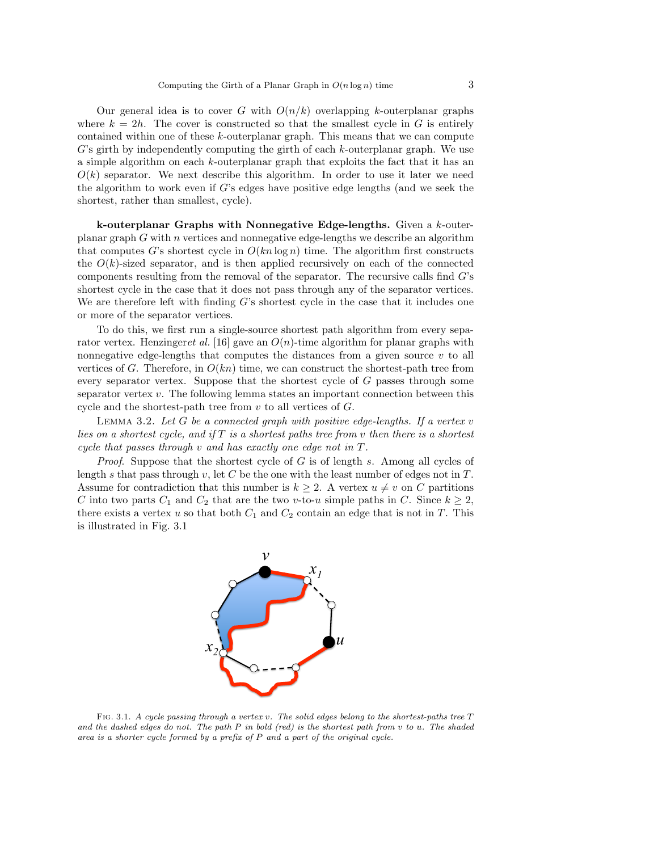Our general idea is to cover G with  $O(n/k)$  overlapping k-outerplanar graphs where  $k = 2h$ . The cover is constructed so that the smallest cycle in G is entirely contained within one of these k-outerplanar graph. This means that we can compute G's girth by independently computing the girth of each k-outerplanar graph. We use a simple algorithm on each k-outerplanar graph that exploits the fact that it has an  $O(k)$  separator. We next describe this algorithm. In order to use it later we need the algorithm to work even if G's edges have positive edge lengths (and we seek the shortest, rather than smallest, cycle).

k-outerplanar Graphs with Nonnegative Edge-lengths. Given a  $k$ -outerplanar graph  $G$  with  $n$  vertices and nonnegative edge-lengths we describe an algorithm that computes G's shortest cycle in  $O(kn \log n)$  time. The algorithm first constructs the  $O(k)$ -sized separator, and is then applied recursively on each of the connected components resulting from the removal of the separator. The recursive calls find G's shortest cycle in the case that it does not pass through any of the separator vertices. We are therefore left with finding  $G$ 's shortest cycle in the case that it includes one or more of the separator vertices.

To do this, we first run a single-source shortest path algorithm from every separator vertex. Henzingeret al. [16] gave an  $O(n)$ -time algorithm for planar graphs with nonnegative edge-lengths that computes the distances from a given source  $v$  to all vertices of G. Therefore, in  $O(kn)$  time, we can construct the shortest-path tree from every separator vertex. Suppose that the shortest cycle of G passes through some separator vertex  $v$ . The following lemma states an important connection between this cycle and the shortest-path tree from  $v$  to all vertices of  $G$ .

LEMMA 3.2. Let  $G$  be a connected graph with positive edge-lengths. If a vertex  $v$ lies on a shortest cycle, and if  $T$  is a shortest paths tree from v then there is a shortest cycle that passes through v and has exactly one edge not in T.

*Proof.* Suppose that the shortest cycle of  $G$  is of length s. Among all cycles of length s that pass through  $v$ , let C be the one with the least number of edges not in  $T$ . Assume for contradiction that this number is  $k \geq 2$ . A vertex  $u \neq v$  on C partitions C into two parts  $C_1$  and  $C_2$  that are the two v-to-u simple paths in C. Since  $k \geq 2$ , there exists a vertex u so that both  $C_1$  and  $C_2$  contain an edge that is not in T. This is illustrated in Fig. 3.1



FIG. 3.1. A cycle passing through a vertex v. The solid edges belong to the shortest-paths tree  $T$ and the dashed edges do not. The path P in bold (red) is the shortest path from v to u. The shaded area is a shorter cycle formed by a prefix of P and a part of the original cycle.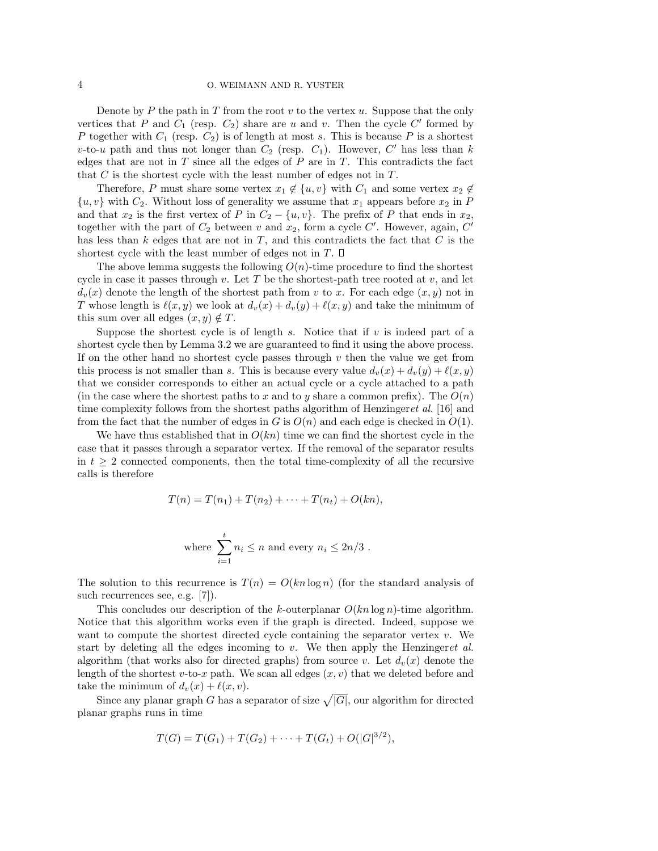Denote by  $P$  the path in  $T$  from the root  $v$  to the vertex  $u$ . Suppose that the only vertices that P and  $C_1$  (resp.  $C_2$ ) share are u and v. Then the cycle C' formed by P together with  $C_1$  (resp.  $C_2$ ) is of length at most s. This is because P is a shortest v-to-u path and thus not longer than  $C_2$  (resp.  $C_1$ ). However,  $C'$  has less than k edges that are not in  $T$  since all the edges of  $P$  are in  $T$ . This contradicts the fact that  $C$  is the shortest cycle with the least number of edges not in  $T$ .

Therefore, P must share some vertex  $x_1 \notin \{u, v\}$  with  $C_1$  and some vertex  $x_2 \notin$  $\{u, v\}$  with  $C_2$ . Without loss of generality we assume that  $x_1$  appears before  $x_2$  in P and that  $x_2$  is the first vertex of P in  $C_2 - \{u, v\}$ . The prefix of P that ends in  $x_2$ , together with the part of  $C_2$  between v and  $x_2$ , form a cycle  $C'$ . However, again,  $C'$ has less than  $k$  edges that are not in  $T$ , and this contradicts the fact that  $C$  is the shortest cycle with the least number of edges not in  $T$ .  $\Box$ 

The above lemma suggests the following  $O(n)$ -time procedure to find the shortest cycle in case it passes through v. Let T be the shortest-path tree rooted at v, and let  $d_v(x)$  denote the length of the shortest path from v to x. For each edge  $(x, y)$  not in T whose length is  $\ell(x, y)$  we look at  $d_v(x) + d_v(y) + \ell(x, y)$  and take the minimum of this sum over all edges  $(x, y) \notin T$ .

Suppose the shortest cycle is of length s. Notice that if  $v$  is indeed part of a shortest cycle then by Lemma 3.2 we are guaranteed to find it using the above process. If on the other hand no shortest cycle passes through  $v$  then the value we get from this process is not smaller than s. This is because every value  $d_v(x) + d_v(y) + \ell(x, y)$ that we consider corresponds to either an actual cycle or a cycle attached to a path (in the case where the shortest paths to x and to y share a common prefix). The  $O(n)$ time complexity follows from the shortest paths algorithm of Henzingeret al. [16] and from the fact that the number of edges in G is  $O(n)$  and each edge is checked in  $O(1)$ .

We have thus established that in  $O(kn)$  time we can find the shortest cycle in the case that it passes through a separator vertex. If the removal of the separator results in  $t \geq 2$  connected components, then the total time-complexity of all the recursive calls is therefore

$$
T(n) = T(n_1) + T(n_2) + \cdots + T(n_t) + O(kn),
$$

where 
$$
\sum_{i=1}^{t} n_i \leq n
$$
 and every  $n_i \leq 2n/3$ .

The solution to this recurrence is  $T(n) = O(kn \log n)$  (for the standard analysis of such recurrences see, e.g. [7]).

This concludes our description of the k-outerplanar  $O(kn \log n)$ -time algorithm. Notice that this algorithm works even if the graph is directed. Indeed, suppose we want to compute the shortest directed cycle containing the separator vertex  $v$ . We start by deleting all the edges incoming to  $v$ . We then apply the Henzinger et al. algorithm (that works also for directed graphs) from source v. Let  $d_v(x)$  denote the length of the shortest v-to-x path. We scan all edges  $(x, v)$  that we deleted before and take the minimum of  $d_v(x) + \ell(x, v)$ .

Since any planar graph G has a separator of size  $\sqrt{|G|}$ , our algorithm for directed planar graphs runs in time

$$
T(G) = T(G_1) + T(G_2) + \cdots + T(G_t) + O(|G|^{3/2}),
$$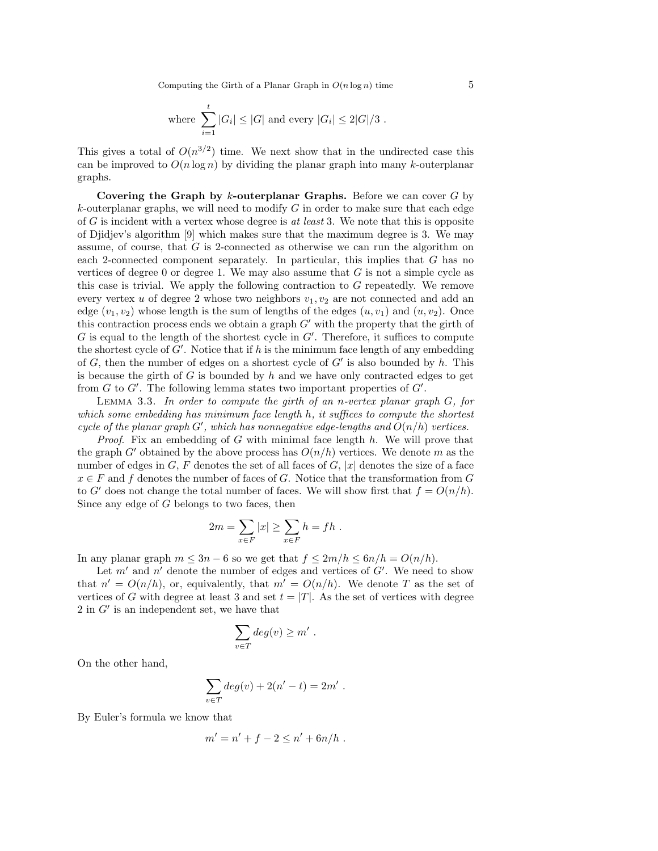Computing the Girth of a Planar Graph in  $O(n \log n)$  time 5

where 
$$
\sum_{i=1}^t |G_i| \leq |G|
$$
 and every  $|G_i| \leq 2|G|/3$ .

This gives a total of  $O(n^{3/2})$  time. We next show that in the undirected case this can be improved to  $O(n \log n)$  by dividing the planar graph into many k-outerplanar graphs.

Covering the Graph by  $k$ -outerplanar Graphs. Before we can cover  $G$  by  $k$ -outerplanar graphs, we will need to modify  $G$  in order to make sure that each edge of G is incident with a vertex whose degree is at least 3. We note that this is opposite of Djidjev's algorithm [9] which makes sure that the maximum degree is 3. We may assume, of course, that  $G$  is 2-connected as otherwise we can run the algorithm on each 2-connected component separately. In particular, this implies that G has no vertices of degree 0 or degree 1. We may also assume that  $G$  is not a simple cycle as this case is trivial. We apply the following contraction to  $G$  repeatedly. We remove every vertex u of degree 2 whose two neighbors  $v_1, v_2$  are not connected and add an edge  $(v_1, v_2)$  whose length is the sum of lengths of the edges  $(u, v_1)$  and  $(u, v_2)$ . Once this contraction process ends we obtain a graph  $G'$  with the property that the girth of  $G$  is equal to the length of the shortest cycle in  $G'$ . Therefore, it suffices to compute the shortest cycle of  $G'$ . Notice that if h is the minimum face length of any embedding of  $G$ , then the number of edges on a shortest cycle of  $G'$  is also bounded by  $h$ . This is because the girth of  $G$  is bounded by  $h$  and we have only contracted edges to get from  $G$  to  $G'$ . The following lemma states two important properties of  $G'$ .

LEMMA 3.3. In order to compute the girth of an n-vertex planar graph  $G$ , for which some embedding has minimum face length  $h$ , it suffices to compute the shortest cycle of the planar graph  $G'$ , which has nonnegative edge-lengths and  $O(n/h)$  vertices.

*Proof.* Fix an embedding of G with minimal face length  $h$ . We will prove that the graph G' obtained by the above process has  $O(n/h)$  vertices. We denote m as the number of edges in  $G, F$  denotes the set of all faces of  $G, |x|$  denotes the size of a face  $x \in F$  and f denotes the number of faces of G. Notice that the transformation from G to G' does not change the total number of faces. We will show first that  $f = O(n/h)$ . Since any edge of G belongs to two faces, then

$$
2m = \sum_{x \in F} |x| \ge \sum_{x \in F} h = fh.
$$

In any planar graph  $m \leq 3n - 6$  so we get that  $f \leq 2m/h \leq 6n/h = O(n/h)$ .

Let  $m'$  and  $n'$  denote the number of edges and vertices of  $G'$ . We need to show that  $n' = O(n/h)$ , or, equivalently, that  $m' = O(n/h)$ . We denote T as the set of vertices of G with degree at least 3 and set  $t = |T|$ . As the set of vertices with degree  $2$  in  $G'$  is an independent set, we have that

$$
\sum_{v \in T} deg(v) \ge m' .
$$

On the other hand,

$$
\sum_{v \in T} deg(v) + 2(n' - t) = 2m'.
$$

By Euler's formula we know that

$$
m' = n' + f - 2 \le n' + 6n/h .
$$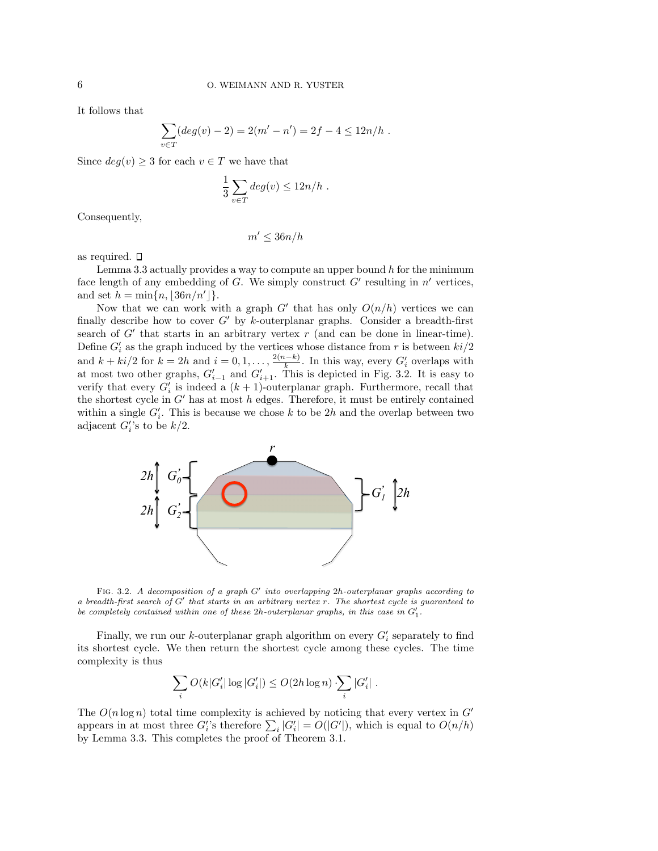It follows that

$$
\sum_{v \in T} (deg(v) - 2) = 2(m' - n') = 2f - 4 \le 12n/h.
$$

Since  $deg(v) \geq 3$  for each  $v \in T$  we have that

$$
\frac{1}{3}\sum_{v\in T}deg(v)\leq 12n/h.
$$

Consequently,

$$
m' \leq 36n/h
$$

as required.

Lemma 3.3 actually provides a way to compute an upper bound  $h$  for the minimum face length of any embedding of  $G$ . We simply construct  $G'$  resulting in  $n'$  vertices, and set  $h = \min\{n, \lfloor 36n/n' \rfloor\}.$ 

Now that we can work with a graph  $G'$  that has only  $O(n/h)$  vertices we can finally describe how to cover  $G'$  by k-outerplanar graphs. Consider a breadth-first search of  $G'$  that starts in an arbitrary vertex  $r$  (and can be done in linear-time). Define  $G_i'$  as the graph induced by the vertices whose distance from r is between  $ki/2$ i and  $k + ki/2$  for  $k = 2h$  and  $i = 0, 1, ..., \frac{2(n-k)}{k}$  $\frac{k^{1-k}}{k}$ . In this way, every  $G'_{i}$  overlaps with at most two other graphs,  $G'_{i-1}$  and  $G'_{i+1}$ . This is depicted in Fig. 3.2. It is easy to verify that every  $G_i'$  is indeed a  $(k + 1)$ -outerplanar graph. Furthermore, recall that the shortest cycle in  $G'$  has at most h edges. Therefore, it must be entirely contained within a single  $G_i'$ . This is because we chose k to be 2h and the overlap between two adjacent  $G_i$ 's to be  $k/2$ .



FIG. 3.2. A decomposition of a graph  $G'$  into overlapping 2h-outerplanar graphs according to a breadth-first search of  $G'$  that starts in an arbitrary vertex r. The shortest cycle is guaranteed to be completely contained within one of these  $2h$ -outerplanar graphs, in this case in  $G_1'$ .

Finally, we run our *k*-outerplanar graph algorithm on every  $G_i'$  separately to find its shortest cycle. We then return the shortest cycle among these cycles. The time complexity is thus

$$
\sum_i O(k|G_i'|\log |G_i'|) \leq O(2h\log n) \cdot \sum_i |G_i'| \ .
$$

The  $O(n \log n)$  total time complexity is achieved by noticing that every vertex in  $G'$ appears in at most three  $G_i'$ 's therefore  $\sum_i |G_i'| = O(|G'|)$ , which is equal to  $O(n/h)$ by Lemma 3.3. This completes the proof of Theorem 3.1.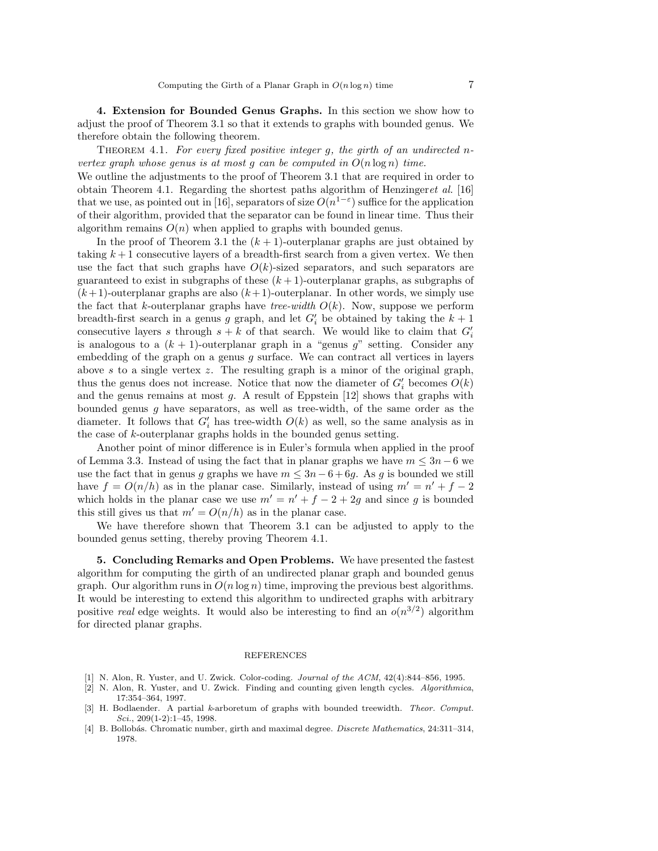4. Extension for Bounded Genus Graphs. In this section we show how to adjust the proof of Theorem 3.1 so that it extends to graphs with bounded genus. We therefore obtain the following theorem.

THEOREM 4.1. For every fixed positive integer g, the girth of an undirected nvertex graph whose genus is at most g can be computed in  $O(n \log n)$  time.

We outline the adjustments to the proof of Theorem 3.1 that are required in order to obtain Theorem 4.1. Regarding the shortest paths algorithm of Henzingeret al. [16] that we use, as pointed out in [16], separators of size  $O(n^{1-\epsilon})$  suffice for the application of their algorithm, provided that the separator can be found in linear time. Thus their algorithm remains  $O(n)$  when applied to graphs with bounded genus.

In the proof of Theorem 3.1 the  $(k + 1)$ -outerplanar graphs are just obtained by taking  $k+1$  consecutive layers of a breadth-first search from a given vertex. We then use the fact that such graphs have  $O(k)$ -sized separators, and such separators are guaranteed to exist in subgraphs of these  $(k+1)$ -outerplanar graphs, as subgraphs of  $(k+1)$ -outerplanar graphs are also  $(k+1)$ -outerplanar. In other words, we simply use the fact that k-outerplanar graphs have tree-width  $O(k)$ . Now, suppose we perform breadth-first search in a genus g graph, and let  $G'_{i}$  be obtained by taking the  $k + 1$ consecutive layers s through  $s + k$  of that search. We would like to claim that  $G_i'$ is analogous to a  $(k + 1)$ -outerplanar graph in a "genus g" setting. Consider any embedding of the graph on a genus  $g$  surface. We can contract all vertices in layers above  $s$  to a single vertex  $z$ . The resulting graph is a minor of the original graph, thus the genus does not increase. Notice that now the diameter of  $G'_{i}$  becomes  $O(k)$ and the genus remains at most  $g$ . A result of Eppstein [12] shows that graphs with bounded genus  $g$  have separators, as well as tree-width, of the same order as the diameter. It follows that  $G'_{i}$  has tree-width  $O(k)$  as well, so the same analysis as in the case of k-outerplanar graphs holds in the bounded genus setting.

Another point of minor difference is in Euler's formula when applied in the proof of Lemma 3.3. Instead of using the fact that in planar graphs we have  $m \leq 3n-6$  we use the fact that in genus g graphs we have  $m \leq 3n-6+6g$ . As g is bounded we still have  $f = O(n/h)$  as in the planar case. Similarly, instead of using  $m' = n' + f - 2$ which holds in the planar case we use  $m' = n' + f - 2 + 2g$  and since g is bounded this still gives us that  $m' = O(n/h)$  as in the planar case.

We have therefore shown that Theorem 3.1 can be adjusted to apply to the bounded genus setting, thereby proving Theorem 4.1.

5. Concluding Remarks and Open Problems. We have presented the fastest algorithm for computing the girth of an undirected planar graph and bounded genus graph. Our algorithm runs in  $O(n \log n)$  time, improving the previous best algorithms. It would be interesting to extend this algorithm to undirected graphs with arbitrary positive *real* edge weights. It would also be interesting to find an  $o(n^{3/2})$  algorithm for directed planar graphs.

## REFERENCES

- [1] N. Alon, R. Yuster, and U. Zwick. Color-coding. Journal of the ACM, 42(4):844–856, 1995.
- [2] N. Alon, R. Yuster, and U. Zwick. Finding and counting given length cycles. Algorithmica, 17:354–364, 1997.
- [3] H. Bodlaender. A partial k-arboretum of graphs with bounded treewidth. Theor. Comput.  $Sci.$ , 209(1-2):1–45, 1998.
- [4] B. Bollobás. Chromatic number, girth and maximal degree. *Discrete Mathematics*, 24:311–314, 1978.